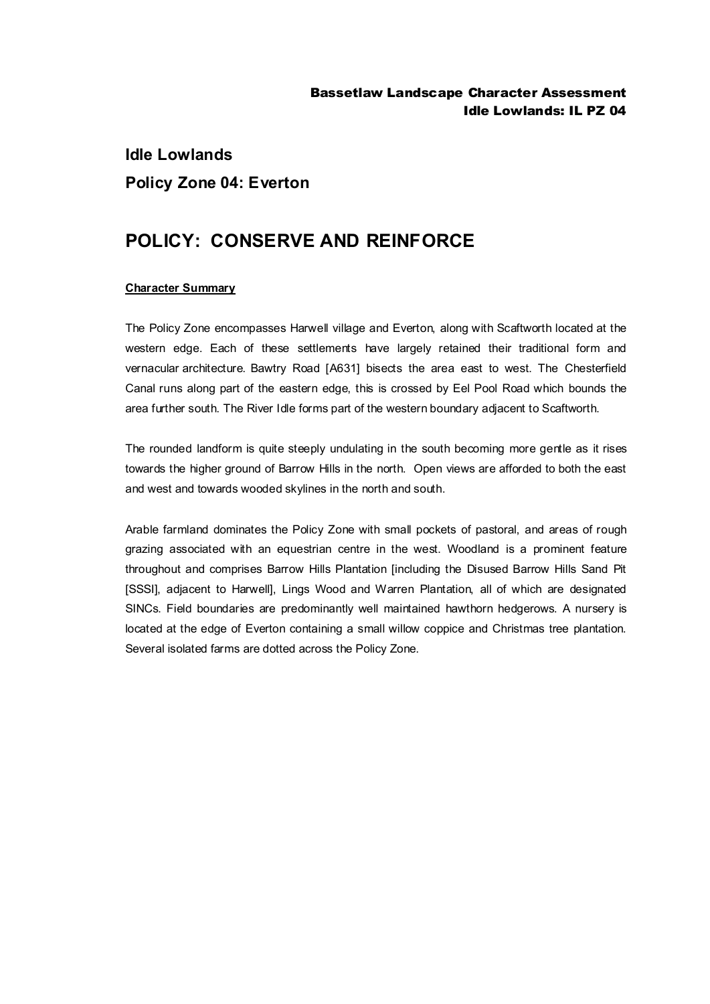## **Idle Lowlands Policy Zone 04: Everton**

## **POLICY: CONSERVE AND REINFORCE**

## **Character Summary**

The Policy Zone encompasses Harwell village and Everton, along with Scaftworth located at the western edge. Each of these settlements have largely retained their traditional form and vernacular architecture. Bawtry Road [A631] bisects the area east to west. The Chesterfield Canal runs along part of the eastern edge, this is crossed by Eel Pool Road which bounds the area further south. The River Idle forms part of the western boundary adjacent to Scaftworth.

The rounded landform is quite steeply undulating in the south becoming more gentle as it rises towards the higher ground of Barrow Hills in the north. Open views are afforded to both the east and west and towards wooded skylines in the north and south.

Arable farmland dominates the Policy Zone with small pockets of pastoral, and areas of rough grazing associated with an equestrian centre in the west. Woodland is a prominent feature throughout and comprises Barrow Hills Plantation [including the Disused Barrow Hills Sand Pit [SSSI], adjacent to Harwell], Lings Wood and Warren Plantation, all of which are designated SINCs. Field boundaries are predominantly well maintained hawthorn hedgerows. A nursery is located at the edge of Everton containing a small willow coppice and Christmas tree plantation. Several isolated farms are dotted across the Policy Zone.